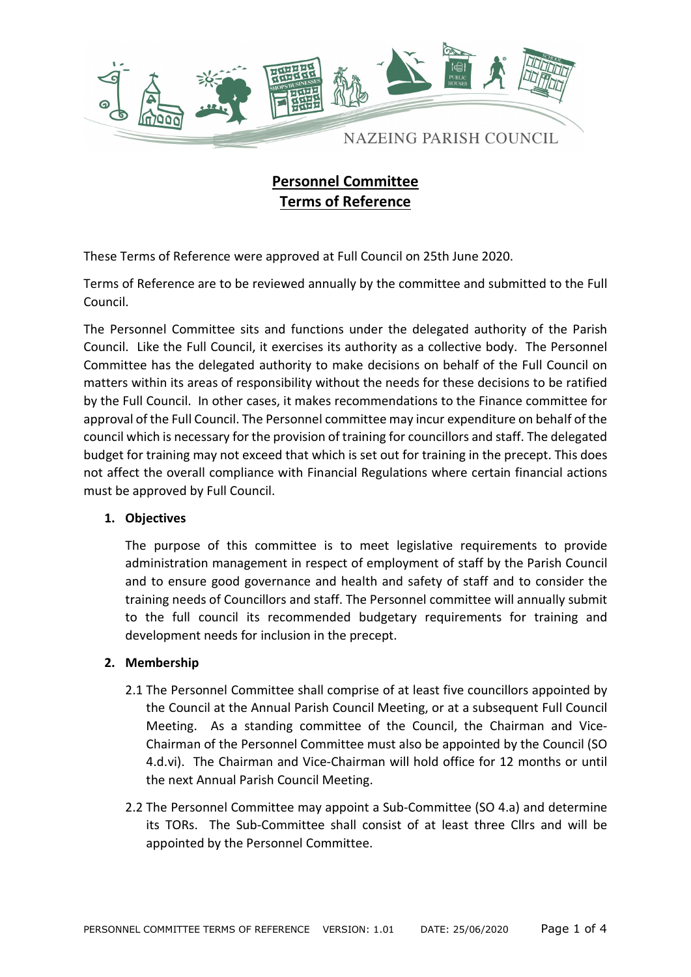

# Personnel Committee Terms of Reference

These Terms of Reference were approved at Full Council on 25th June 2020.

Terms of Reference are to be reviewed annually by the committee and submitted to the Full Council.

The Personnel Committee sits and functions under the delegated authority of the Parish Council. Like the Full Council, it exercises its authority as a collective body. The Personnel Committee has the delegated authority to make decisions on behalf of the Full Council on matters within its areas of responsibility without the needs for these decisions to be ratified by the Full Council. In other cases, it makes recommendations to the Finance committee for approval of the Full Council. The Personnel committee may incur expenditure on behalf of the council which is necessary for the provision of training for councillors and staff. The delegated budget for training may not exceed that which is set out for training in the precept. This does not affect the overall compliance with Financial Regulations where certain financial actions must be approved by Full Council.

## 1. Objectives

The purpose of this committee is to meet legislative requirements to provide administration management in respect of employment of staff by the Parish Council and to ensure good governance and health and safety of staff and to consider the training needs of Councillors and staff. The Personnel committee will annually submit to the full council its recommended budgetary requirements for training and development needs for inclusion in the precept.

## 2. Membership

- 2.1 The Personnel Committee shall comprise of at least five councillors appointed by the Council at the Annual Parish Council Meeting, or at a subsequent Full Council Meeting. As a standing committee of the Council, the Chairman and Vice-Chairman of the Personnel Committee must also be appointed by the Council (SO 4.d.vi). The Chairman and Vice-Chairman will hold office for 12 months or until the next Annual Parish Council Meeting.
- 2.2 The Personnel Committee may appoint a Sub-Committee (SO 4.a) and determine its TORs. The Sub-Committee shall consist of at least three Cllrs and will be appointed by the Personnel Committee.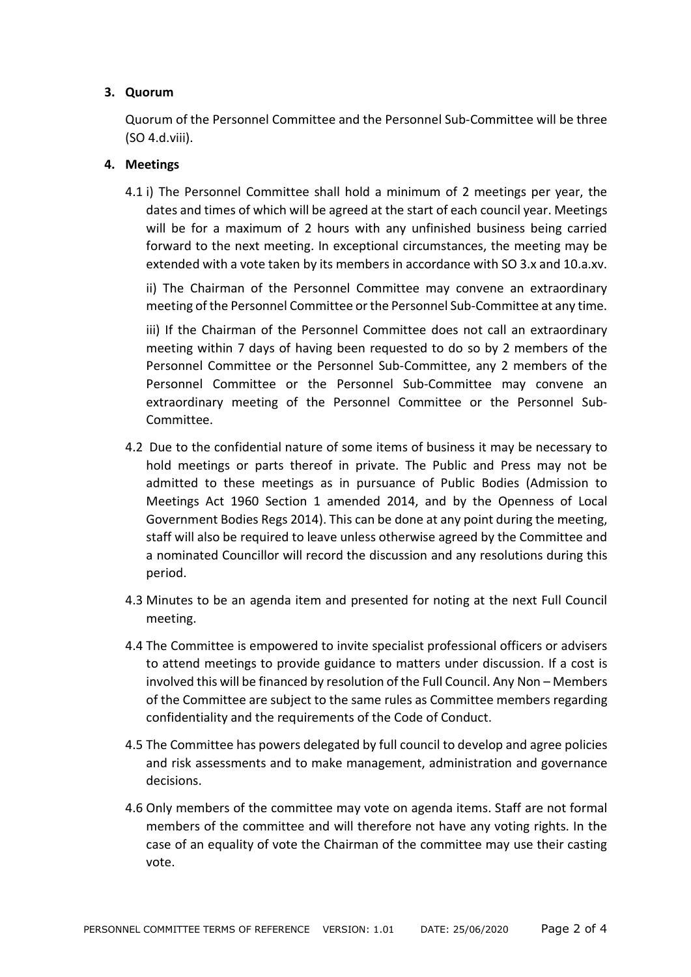## 3. Quorum

Quorum of the Personnel Committee and the Personnel Sub-Committee will be three (SO 4.d.viii).

## 4. Meetings

4.1 i) The Personnel Committee shall hold a minimum of 2 meetings per year, the dates and times of which will be agreed at the start of each council year. Meetings will be for a maximum of 2 hours with any unfinished business being carried forward to the next meeting. In exceptional circumstances, the meeting may be extended with a vote taken by its members in accordance with SO 3.x and 10.a.xv.

ii) The Chairman of the Personnel Committee may convene an extraordinary meeting of the Personnel Committee or the Personnel Sub-Committee at any time.

iii) If the Chairman of the Personnel Committee does not call an extraordinary meeting within 7 days of having been requested to do so by 2 members of the Personnel Committee or the Personnel Sub-Committee, any 2 members of the Personnel Committee or the Personnel Sub-Committee may convene an extraordinary meeting of the Personnel Committee or the Personnel Sub-Committee.

- 4.2 Due to the confidential nature of some items of business it may be necessary to hold meetings or parts thereof in private. The Public and Press may not be admitted to these meetings as in pursuance of Public Bodies (Admission to Meetings Act 1960 Section 1 amended 2014, and by the Openness of Local Government Bodies Regs 2014). This can be done at any point during the meeting, staff will also be required to leave unless otherwise agreed by the Committee and a nominated Councillor will record the discussion and any resolutions during this period.
- 4.3 Minutes to be an agenda item and presented for noting at the next Full Council meeting.
- 4.4 The Committee is empowered to invite specialist professional officers or advisers to attend meetings to provide guidance to matters under discussion. If a cost is involved this will be financed by resolution of the Full Council. Any Non – Members of the Committee are subject to the same rules as Committee members regarding confidentiality and the requirements of the Code of Conduct.
- 4.5 The Committee has powers delegated by full council to develop and agree policies and risk assessments and to make management, administration and governance decisions.
- 4.6 Only members of the committee may vote on agenda items. Staff are not formal members of the committee and will therefore not have any voting rights. In the case of an equality of vote the Chairman of the committee may use their casting vote.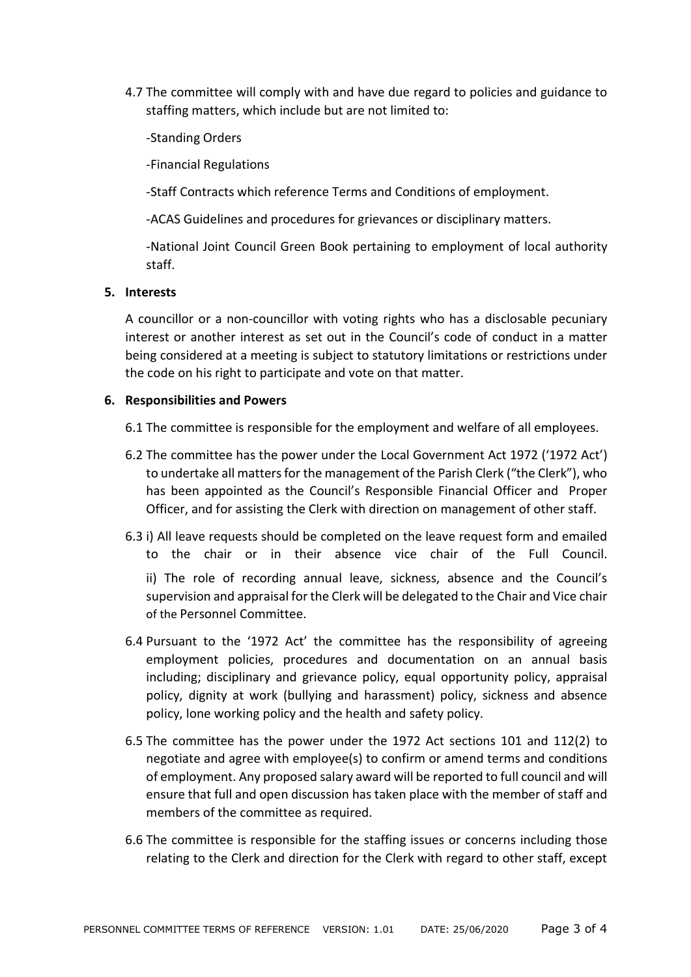4.7 The committee will comply with and have due regard to policies and guidance to staffing matters, which include but are not limited to:

-Standing Orders

-Financial Regulations

-Staff Contracts which reference Terms and Conditions of employment.

-ACAS Guidelines and procedures for grievances or disciplinary matters.

-National Joint Council Green Book pertaining to employment of local authority staff.

#### 5. Interests

A councillor or a non-councillor with voting rights who has a disclosable pecuniary interest or another interest as set out in the Council's code of conduct in a matter being considered at a meeting is subject to statutory limitations or restrictions under the code on his right to participate and vote on that matter.

#### 6. Responsibilities and Powers

- 6.1 The committee is responsible for the employment and welfare of all employees.
- 6.2 The committee has the power under the Local Government Act 1972 ('1972 Act') to undertake all matters for the management of the Parish Clerk ("the Clerk"), who has been appointed as the Council's Responsible Financial Officer and Proper Officer, and for assisting the Clerk with direction on management of other staff.
- 6.3 i) All leave requests should be completed on the leave request form and emailed to the chair or in their absence vice chair of the Full Council.

ii) The role of recording annual leave, sickness, absence and the Council's supervision and appraisal for the Clerk will be delegated to the Chair and Vice chair of the Personnel Committee.

- 6.4 Pursuant to the '1972 Act' the committee has the responsibility of agreeing employment policies, procedures and documentation on an annual basis including; disciplinary and grievance policy, equal opportunity policy, appraisal policy, dignity at work (bullying and harassment) policy, sickness and absence policy, lone working policy and the health and safety policy.
- 6.5 The committee has the power under the 1972 Act sections 101 and 112(2) to negotiate and agree with employee(s) to confirm or amend terms and conditions of employment. Any proposed salary award will be reported to full council and will ensure that full and open discussion has taken place with the member of staff and members of the committee as required.
- 6.6 The committee is responsible for the staffing issues or concerns including those relating to the Clerk and direction for the Clerk with regard to other staff, except